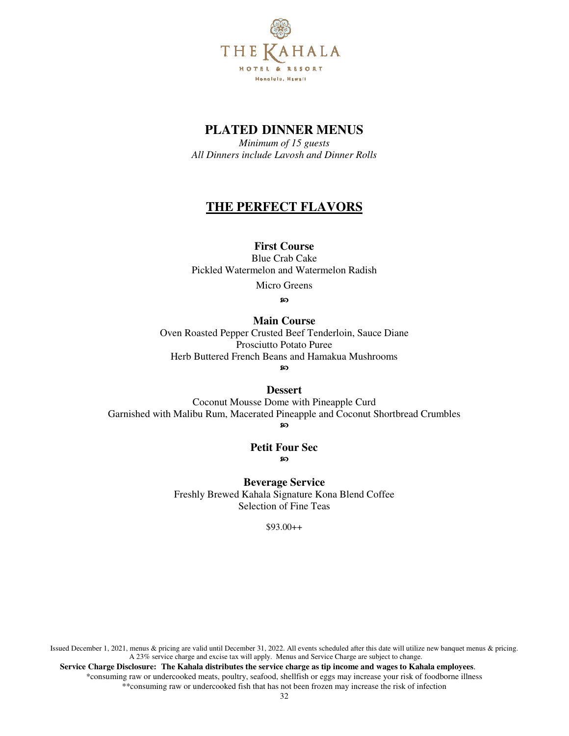

*Minimum of 15 guests All Dinners include Lavosh and Dinner Rolls*

# **THE PERFECT FLAVORS**

# **First Course**

Blue Crab Cake Pickled Watermelon and Watermelon Radish

Micro Greens

**ေ** 

# **Main Course**

Oven Roasted Pepper Crusted Beef Tenderloin, Sauce Diane Prosciutto Potato Puree Herb Buttered French Beans and Hamakua Mushrooms മ

**Dessert** 

Coconut Mousse Dome with Pineapple Curd Garnished with Malibu Rum, Macerated Pineapple and Coconut Shortbread Crumbles മ

**Petit Four Sec ေ** 

**Beverage Service** Freshly Brewed Kahala Signature Kona Blend Coffee Selection of Fine Teas

\$93.00++

Issued December 1, 2021, menus & pricing are valid until December 31, 2022. All events scheduled after this date will utilize new banquet menus & pricing. A 23% service charge and excise tax will apply. Menus and Service Charge are subject to change.  **Service Charge Disclosure: The Kahala distributes the service charge as tip income and wages to Kahala employees**.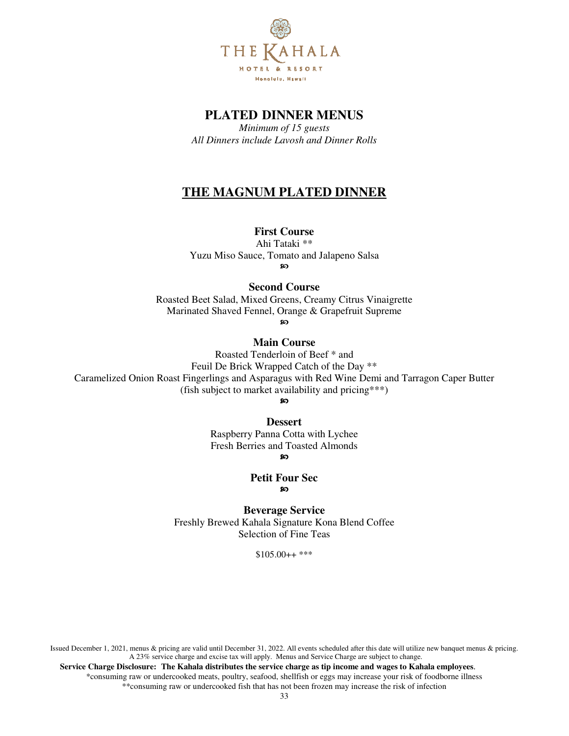

*Minimum of 15 guests All Dinners include Lavosh and Dinner Rolls* 

# **THE MAGNUM PLATED DINNER**

# **First Course**

Ahi Tataki \*\* Yuzu Miso Sauce, Tomato and Jalapeno Salsa ഩ

# **Second Course**

Roasted Beet Salad, Mixed Greens, Creamy Citrus Vinaigrette Marinated Shaved Fennel, Orange & Grapefruit Supreme

ഹ

# **Main Course**

Roasted Tenderloin of Beef \* and Feuil De Brick Wrapped Catch of the Day \*\* Caramelized Onion Roast Fingerlings and Asparagus with Red Wine Demi and Tarragon Caper Butter (fish subject to market availability and pricing\*\*\*)

ഩ

#### **Dessert**

Raspberry Panna Cotta with Lychee Fresh Berries and Toasted Almonds

ഩ

#### **Petit Four Sec**  ഩ

**Beverage Service** Freshly Brewed Kahala Signature Kona Blend Coffee Selection of Fine Teas

 $$105.00++$ \*\*\*

Issued December 1, 2021, menus & pricing are valid until December 31, 2022. All events scheduled after this date will utilize new banquet menus & pricing. A 23% service charge and excise tax will apply. Menus and Service Charge are subject to change.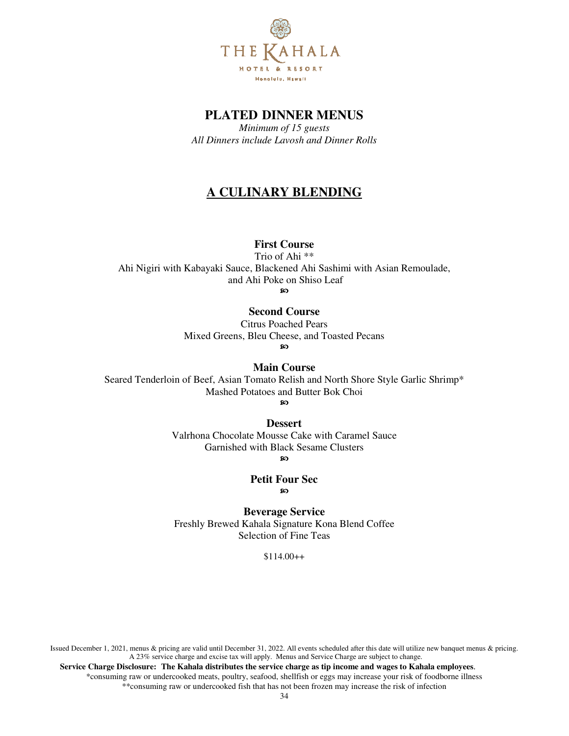

*Minimum of 15 guests All Dinners include Lavosh and Dinner Rolls* 

# **A CULINARY BLENDING**

# **First Course**

Trio of Ahi \*\*

Ahi Nigiri with Kabayaki Sauce, Blackened Ahi Sashimi with Asian Remoulade, and Ahi Poke on Shiso Leaf

ഹ

# **Second Course**

Citrus Poached Pears Mixed Greens, Bleu Cheese, and Toasted Pecans  $\infty$ 

**Main Course** 

Seared Tenderloin of Beef, Asian Tomato Relish and North Shore Style Garlic Shrimp\* Mashed Potatoes and Butter Bok Choi പ

**Dessert** 

Valrhona Chocolate Mousse Cake with Caramel Sauce Garnished with Black Sesame Clusters

ഩ

#### **Petit Four Sec**  ၷ

**Beverage Service** Freshly Brewed Kahala Signature Kona Blend Coffee Selection of Fine Teas

\$114.00++

Issued December 1, 2021, menus & pricing are valid until December 31, 2022. All events scheduled after this date will utilize new banquet menus & pricing. A 23% service charge and excise tax will apply. Menus and Service Charge are subject to change.  **Service Charge Disclosure: The Kahala distributes the service charge as tip income and wages to Kahala employees**.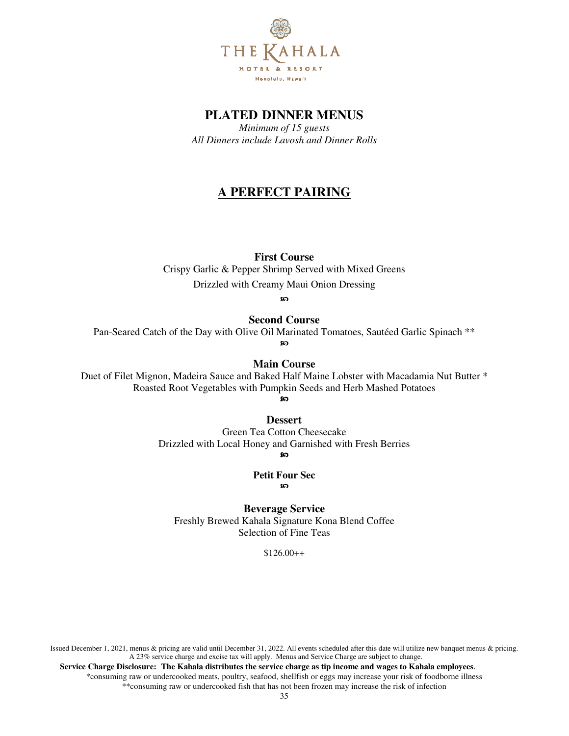

*Minimum of 15 guests All Dinners include Lavosh and Dinner Rolls* 

# **A PERFECT PAIRING**

**First Course** 

Crispy Garlic & Pepper Shrimp Served with Mixed Greens Drizzled with Creamy Maui Onion Dressing

အ

**Second Course** 

Pan-Seared Catch of the Day with Olive Oil Marinated Tomatoes, Sautéed Garlic Spinach \*\*

ഩ

**Main Course** 

Duet of Filet Mignon, Madeira Sauce and Baked Half Maine Lobster with Macadamia Nut Butter \* Roasted Root Vegetables with Pumpkin Seeds and Herb Mashed Potatoes

**80** 

**Dessert** 

Green Tea Cotton Cheesecake Drizzled with Local Honey and Garnished with Fresh Berries စာ

**Petit Four Sec ေ** 

**Beverage Service** Freshly Brewed Kahala Signature Kona Blend Coffee Selection of Fine Teas

 $$126.00++$ 

Issued December 1, 2021, menus & pricing are valid until December 31, 2022. All events scheduled after this date will utilize new banquet menus & pricing. A 23% service charge and excise tax will apply. Menus and Service Charge are subject to change.  **Service Charge Disclosure: The Kahala distributes the service charge as tip income and wages to Kahala employees**.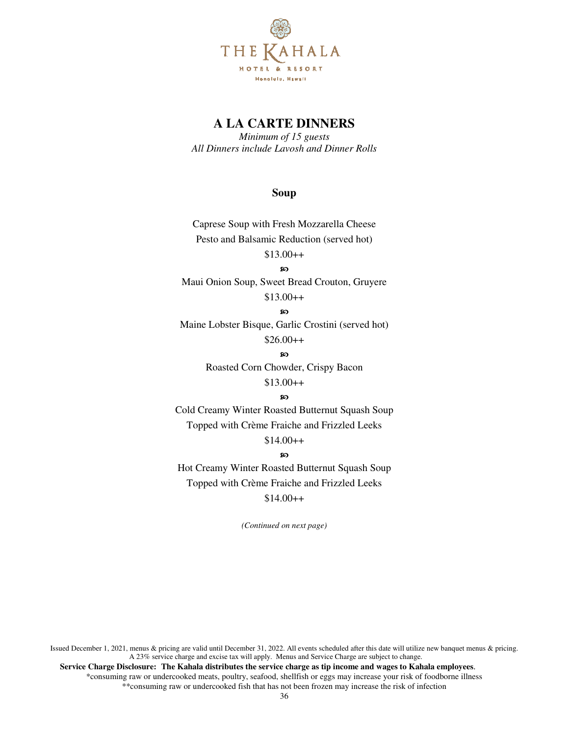

*Minimum of 15 guests All Dinners include Lavosh and Dinner Rolls*

### **Soup**

Caprese Soup with Fresh Mozzarella Cheese Pesto and Balsamic Reduction (served hot) \$13.00++

ഹ

Maui Onion Soup, Sweet Bread Crouton, Gruyere  $$13.00++$ 

#### ၷ

Maine Lobster Bisque, Garlic Crostini (served hot)  $$26.00++$ 

**ေ** 

Roasted Corn Chowder, Crispy Bacon

# $$13.00++$

### െ

Cold Creamy Winter Roasted Butternut Squash Soup Topped with Crème Fraiche and Frizzled Leeks

### \$14.00++

#### စာ

Hot Creamy Winter Roasted Butternut Squash Soup Topped with Crème Fraiche and Frizzled Leeks

# $$14.00++$

*(Continued on next page)*

Issued December 1, 2021, menus & pricing are valid until December 31, 2022. All events scheduled after this date will utilize new banquet menus & pricing. A 23% service charge and excise tax will apply. Menus and Service Charge are subject to change.  **Service Charge Disclosure: The Kahala distributes the service charge as tip income and wages to Kahala employees**. \*consuming raw or undercooked meats, poultry, seafood, shellfish or eggs may increase your risk of foodborne illness \*\*consuming raw or undercooked fish that has not been frozen may increase the risk of infection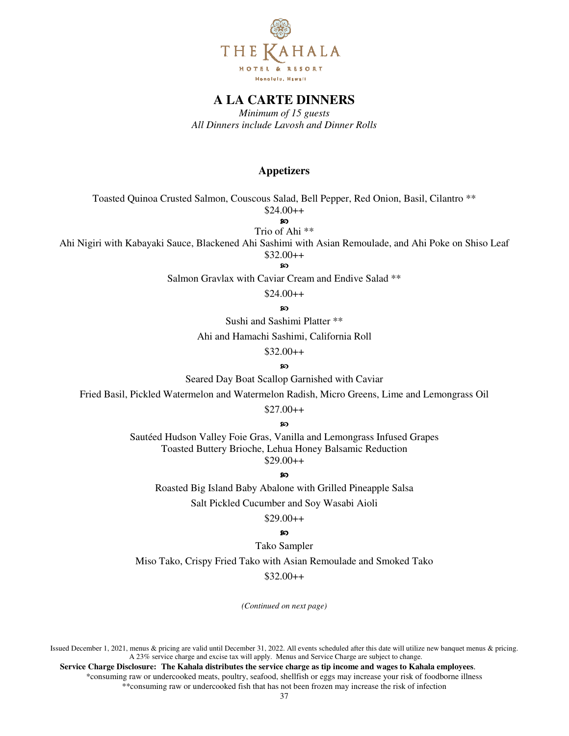

*Minimum of 15 guests All Dinners include Lavosh and Dinner Rolls* 

### **Appetizers**

Toasted Quinoa Crusted Salmon, Couscous Salad, Bell Pepper, Red Onion, Basil, Cilantro \*\*

 $$24.00++$ 

ഩ Trio of Ahi \*\*

Ahi Nigiri with Kabayaki Sauce, Blackened Ahi Sashimi with Asian Remoulade, and Ahi Poke on Shiso Leaf \$32.00++

ၷ

Salmon Gravlax with Caviar Cream and Endive Salad \*\*

 $$24.00++$ 

**so** 

Sushi and Sashimi Platter \*\*

Ahi and Hamachi Sashimi, California Roll

 $$32.00++$ 

ഹ

Seared Day Boat Scallop Garnished with Caviar

Fried Basil, Pickled Watermelon and Watermelon Radish, Micro Greens, Lime and Lemongrass Oil

 $$27.00++$ 

ഩ

Sautéed Hudson Valley Foie Gras, Vanilla and Lemongrass Infused Grapes Toasted Buttery Brioche, Lehua Honey Balsamic Reduction \$29.00++

െ

Roasted Big Island Baby Abalone with Grilled Pineapple Salsa

Salt Pickled Cucumber and Soy Wasabi Aioli

 $$29.00++$ 

ഹ

Tako Sampler

Miso Tako, Crispy Fried Tako with Asian Remoulade and Smoked Tako

 $$32.00++$ 

*(Continued on next page)*

Issued December 1, 2021, menus & pricing are valid until December 31, 2022. All events scheduled after this date will utilize new banquet menus & pricing. A 23% service charge and excise tax will apply. Menus and Service Charge are subject to change.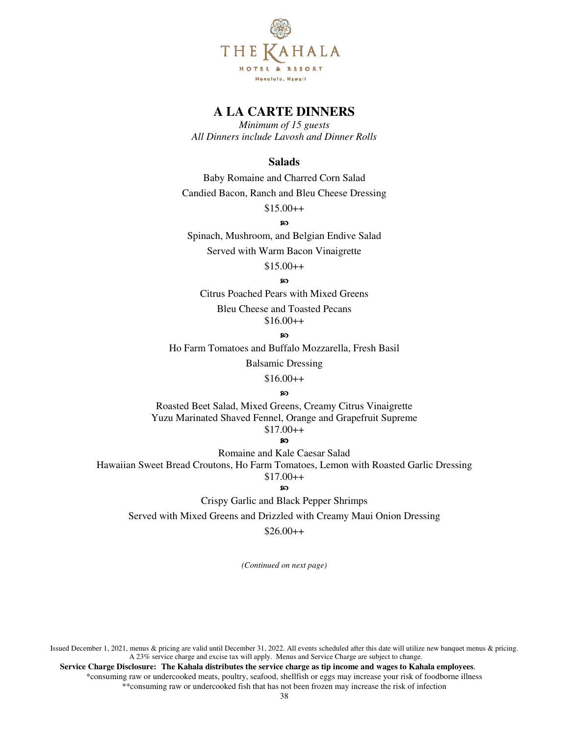

*Minimum of 15 guests All Dinners include Lavosh and Dinner Rolls* 

## **Salads**

Baby Romaine and Charred Corn Salad Candied Bacon, Ranch and Bleu Cheese Dressing

 $$15.00++$ 

#### മ

Spinach, Mushroom, and Belgian Endive Salad Served with Warm Bacon Vinaigrette

\$15.00++

#### ക

Citrus Poached Pears with Mixed Greens Bleu Cheese and Toasted Pecans  $$16.00++$ 

# ഩ

Ho Farm Tomatoes and Buffalo Mozzarella, Fresh Basil

Balsamic Dressing

 $$16.00++$ 

### ഹ

Roasted Beet Salad, Mixed Greens, Creamy Citrus Vinaigrette Yuzu Marinated Shaved Fennel, Orange and Grapefruit Supreme  $$17.00++$ 

#### ഹ

Romaine and Kale Caesar Salad Hawaiian Sweet Bread Croutons, Ho Farm Tomatoes, Lemon with Roasted Garlic Dressing  $$17.00++$ 

#### **80**

Crispy Garlic and Black Pepper Shrimps

Served with Mixed Greens and Drizzled with Creamy Maui Onion Dressing

### $$26.00++$

*(Continued on next page)*

Issued December 1, 2021, menus & pricing are valid until December 31, 2022. All events scheduled after this date will utilize new banquet menus & pricing. A 23% service charge and excise tax will apply. Menus and Service Charge are subject to change.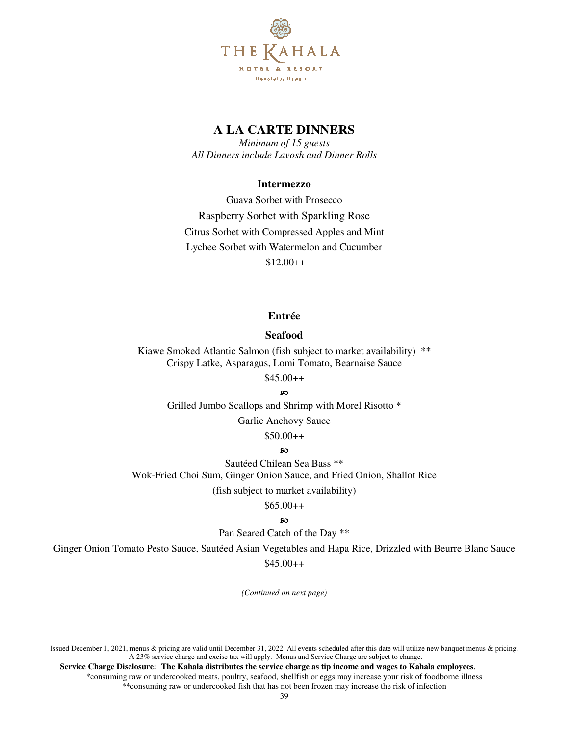

*Minimum of 15 guests All Dinners include Lavosh and Dinner Rolls* 

### **Intermezzo**

Guava Sorbet with Prosecco Raspberry Sorbet with Sparkling Rose Citrus Sorbet with Compressed Apples and Mint Lychee Sorbet with Watermelon and Cucumber  $$12.00++$ 

# **Entrée**

## **Seafood**

Kiawe Smoked Atlantic Salmon (fish subject to market availability) \*\* Crispy Latke, Asparagus, Lomi Tomato, Bearnaise Sauce

## $$45.00++$

SO<sub>1</sub>

Grilled Jumbo Scallops and Shrimp with Morel Risotto \*

Garlic Anchovy Sauce

\$50.00++

## **so**

Sautéed Chilean Sea Bass \*\* Wok-Fried Choi Sum, Ginger Onion Sauce, and Fried Onion, Shallot Rice

(fish subject to market availability)

 $$65.00++$ 

# **ေ**

Pan Seared Catch of the Day \*\*

Ginger Onion Tomato Pesto Sauce, Sautéed Asian Vegetables and Hapa Rice, Drizzled with Beurre Blanc Sauce

\$45.00++

*(Continued on next page)*

Issued December 1, 2021, menus & pricing are valid until December 31, 2022. All events scheduled after this date will utilize new banquet menus & pricing. A 23% service charge and excise tax will apply. Menus and Service Charge are subject to change.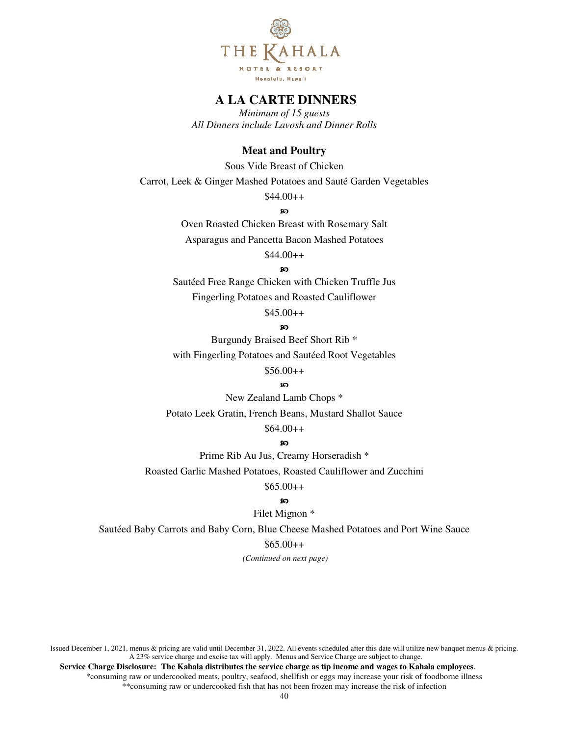

*Minimum of 15 guests All Dinners include Lavosh and Dinner Rolls* 

## **Meat and Poultry**

Sous Vide Breast of Chicken

Carrot, Leek & Ginger Mashed Potatoes and Sauté Garden Vegetables

 $$44.00++$ 

ၷ

Oven Roasted Chicken Breast with Rosemary Salt Asparagus and Pancetta Bacon Mashed Potatoes

 $$44.00++$ 

**so** 

Sautéed Free Range Chicken with Chicken Truffle Jus Fingerling Potatoes and Roasted Cauliflower

 $$45.00++$ 

**so** 

Burgundy Braised Beef Short Rib \* with Fingerling Potatoes and Sautéed Root Vegetables

 $$56.00++$ 

െ

New Zealand Lamb Chops \*

Potato Leek Gratin, French Beans, Mustard Shallot Sauce

\$64.00++

#### ഩ

Prime Rib Au Jus, Creamy Horseradish \*

Roasted Garlic Mashed Potatoes, Roasted Cauliflower and Zucchini

 $$65.00++$ 

### ၷ

Filet Mignon \*

Sautéed Baby Carrots and Baby Corn, Blue Cheese Mashed Potatoes and Port Wine Sauce

 $$65.00++$ 

 *(Continued on next page)* 

Issued December 1, 2021, menus & pricing are valid until December 31, 2022. All events scheduled after this date will utilize new banquet menus & pricing. A 23% service charge and excise tax will apply. Menus and Service Charge are subject to change.  **Service Charge Disclosure: The Kahala distributes the service charge as tip income and wages to Kahala employees**.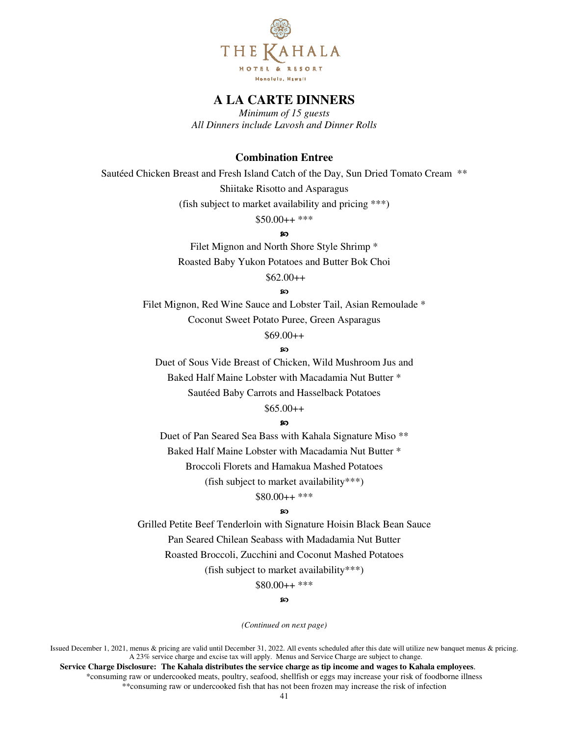

*Minimum of 15 guests All Dinners include Lavosh and Dinner Rolls* 

# **Combination Entree**

Sautéed Chicken Breast and Fresh Island Catch of the Day, Sun Dried Tomato Cream \*\* Shiitake Risotto and Asparagus

(fish subject to market availability and pricing \*\*\*)

\$50.00++ \*\*\*

ഐ

Filet Mignon and North Shore Style Shrimp \* Roasted Baby Yukon Potatoes and Butter Bok Choi

\$62.00++

ഩ

Filet Mignon, Red Wine Sauce and Lobster Tail, Asian Remoulade \* Coconut Sweet Potato Puree, Green Asparagus

# \$69.00++

ഹ

Duet of Sous Vide Breast of Chicken, Wild Mushroom Jus and Baked Half Maine Lobster with Macadamia Nut Butter \* Sautéed Baby Carrots and Hasselback Potatoes

# $$65.00++$

ဢ

Duet of Pan Seared Sea Bass with Kahala Signature Miso \*\* Baked Half Maine Lobster with Macadamia Nut Butter \* Broccoli Florets and Hamakua Mashed Potatoes (fish subject to market availability\*\*\*)

\$80.00++ \*\*\*

#### ഐ

Grilled Petite Beef Tenderloin with Signature Hoisin Black Bean Sauce Pan Seared Chilean Seabass with Madadamia Nut Butter Roasted Broccoli, Zucchini and Coconut Mashed Potatoes (fish subject to market availability\*\*\*)

\$80.00++ \*\*\*

മ

*(Continued on next page)*

Issued December 1, 2021, menus & pricing are valid until December 31, 2022. All events scheduled after this date will utilize new banquet menus & pricing. A 23% service charge and excise tax will apply. Menus and Service Charge are subject to change.